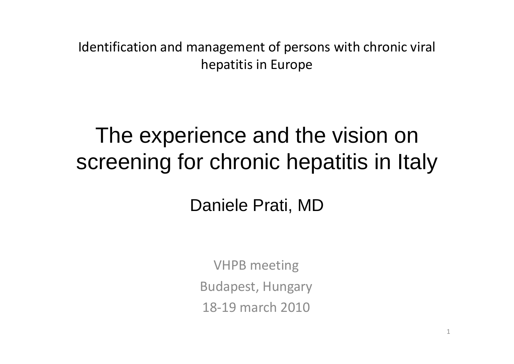Identification and management of persons with chronic viral hepatitis in Europe

# The experience and the vision on screening for chronic hepatitis in Italy

## Daniele Prati, MD

VHPB meeting Budapest, Hungary 18‐19 march 2010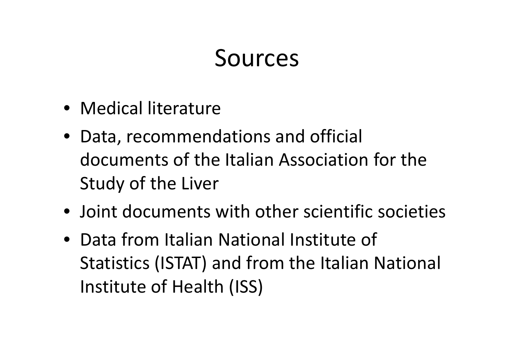# Sources

- Medical literature
- Data, recommendations and official documents of the Italian Association for the Study of the Liver
- Joint documents with other scientific societies
- Data from Italian National Institute of Statistics (ISTAT) and from the Italian National Institute of Health (ISS)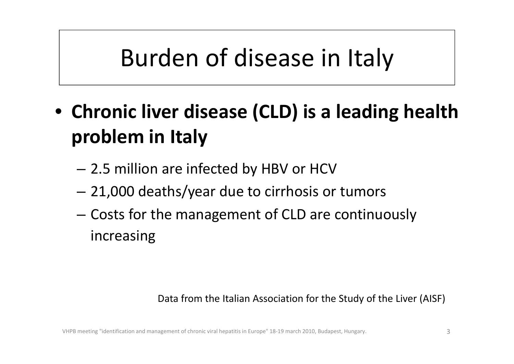# Burden of disease in Italy

- **Chronic liver disease (CLD) is <sup>a</sup> leading health problem in Italy**
	- –2.5 million are infected by HBV or HCV
	- –21,000 deaths/year due to cirrhosis or tumors
	- – $-$  Costs for the management of CLD are continuously increasing

#### Data from the Italian Association for the Study of the Liver (AISF)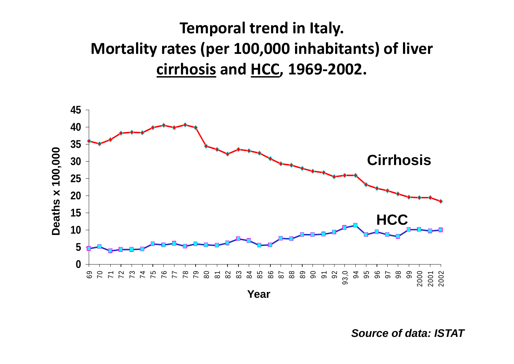## **Temporal trend in Italy. Mortality rates (per 100,000 inhabitants) of liver cirrhosis and HCC, 1969‐2002.**



*Source of data: ISTAT*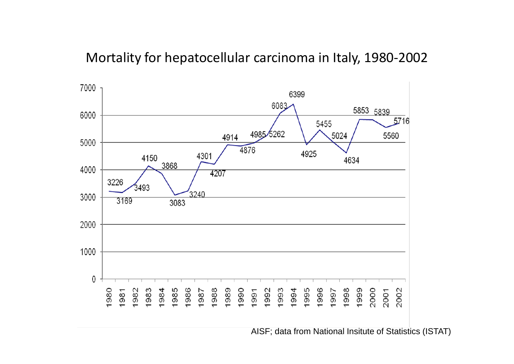### Mortality for hepatocellular carcinoma in Italy, 1980‐2002



AISF; data from National Insitute of Statistics (ISTAT)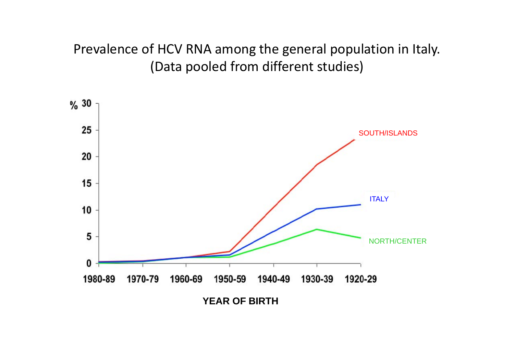### Prevalence of HCV RNA among the general population in Italy. (Data pooled from different studies)

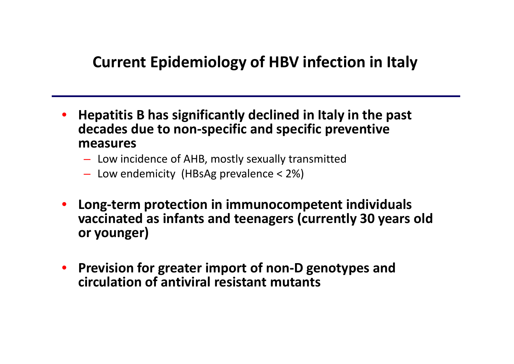## **Current Epidemiology of HBV infection in Italy**

- • **Hepatitis B has significantly declined in Italy in the past decades due to non‐specific and specific preventive measures**
	- Low incidence of AHB, mostly sexually transmitted
	- Low endemicity (HBsAg prevalence <sup>&</sup>lt; 2%)
- • **Long‐term protection in immunocompetent individuals vaccinated as infants and teenagers (currently 30 years old or younger)**
- $\bullet$  **Prevision for greater import of non‐D genotypes and circulation of antiviral resistant mutants**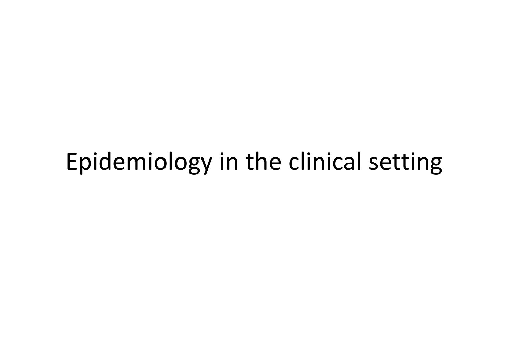# Epidemiology in the clinical setting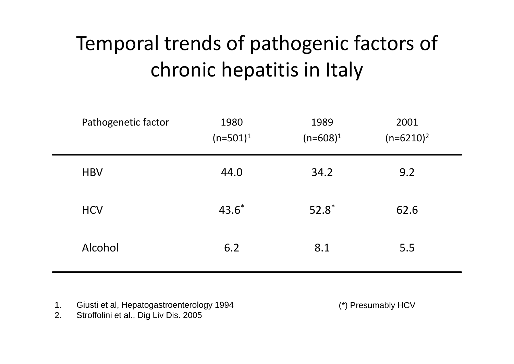# Temporal trends of pathogenic factors of chronic hepatitis in Italy

| Pathogenetic factor | 1980<br>$(n=501)^1$ | 1989<br>$(n=608)^1$ | 2001<br>$(n=6210)^2$ |  |
|---------------------|---------------------|---------------------|----------------------|--|
| <b>HBV</b>          | 44.0                | 34.2                | 9.2                  |  |
| <b>HCV</b>          | $43.6*$             | $52.8^*$            | 62.6                 |  |
| Alcohol             | 6.2                 | 8.1                 | 5.5                  |  |

- 1.Giusti et al, Hepatogastroenterology 1994
- 2.Stroffolini et al., Dig Liv Dis. 2005

(\*) Presumably HCV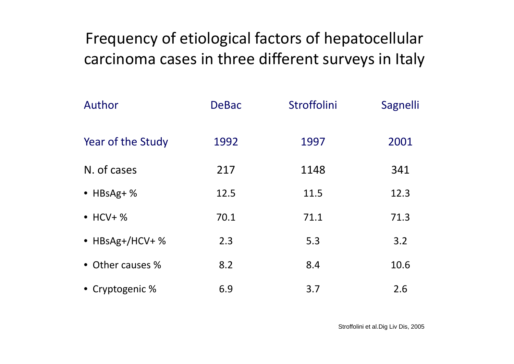Frequency of etiological factors of hepatocellular carcinoma cases in three different surveys in Italy

| Author            | <b>DeBac</b> | Stroffolini | Sagnelli |
|-------------------|--------------|-------------|----------|
| Year of the Study | 1992         | 1997        | 2001     |
| N. of cases       | 217          | 1148        | 341      |
| $\bullet$ HBsAg+% | 12.5         | 11.5        | 12.3     |
| $\bullet$ HCV+%   | 70.1         | 71.1        | 71.3     |
| • HBsAg+/HCV+ %   | 2.3          | 5.3         | 3.2      |
| • Other causes %  | 8.2          | 8.4         | 10.6     |
| • Cryptogenic %   | 6.9          | 3.7         | 2.6      |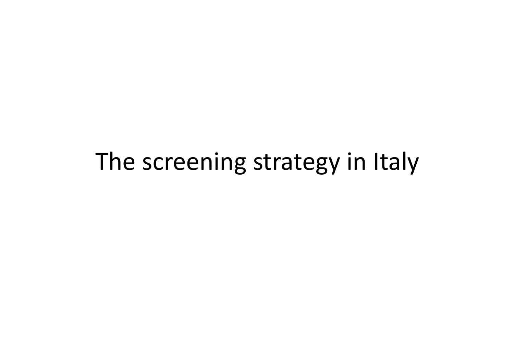# The screening strategy in Italy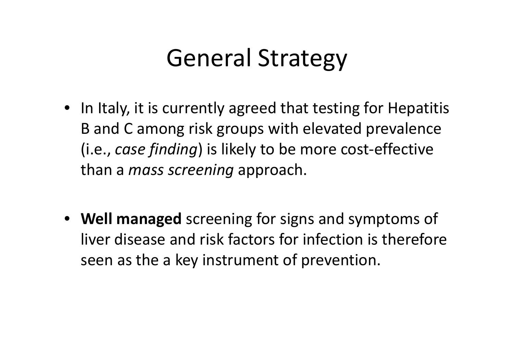# General Strategy

- In Italy, it is currently agreed that testing for Hepatitis B and C among risk groups with elevated prevalence (i.e., *case finding*) is likely to be more cost‐effective than <sup>a</sup> *mass screening* approach.
- **Well managed** screening for signs and symptoms of liver disease and risk factors for infection is therefore seen as the <sup>a</sup> key instrument of prevention.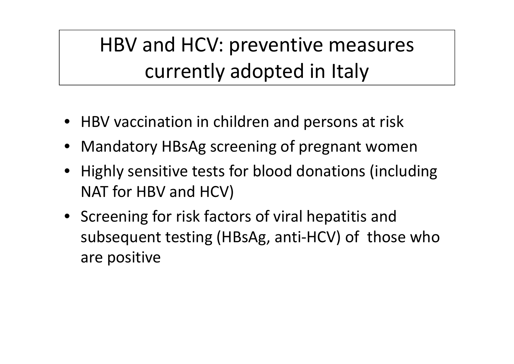# HBV and HCV: preventive measures currently adopted in Italy

- HBV vaccination in children and persons at risk
- Mandatory HBsAg screening of pregnant women
- Highly sensitive tests for blood donations (including NAT for HBV and HCV)
- Screening for risk factors of viral hepatitis and subsequent testing (HBsAg, anti‐HCV) of those who are positive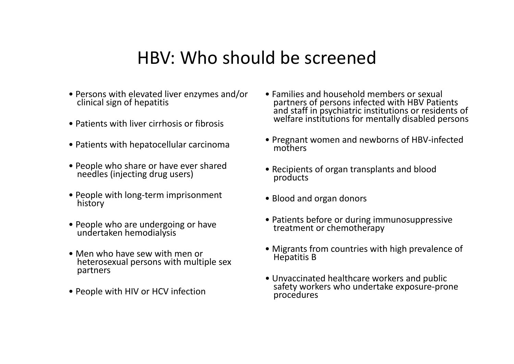## HBV: Who should be screened

- Persons with elevated liver enzymes and/or clinicalclinical sign of hepatitis
- Patients with liver cirrhosis or fibrosis
- Patients with hepatocellular carcinoma
- People who share or have ever shared<br>needles (iniecting drug users) needles (injecting drug users)
- People with long‐term imprisonment history
- People who are undergoing or have undertaken hemodialysis
- Men who have sew with men or heterosexual persons with multiple sex partners
- People with HIV or HCV infection
- Families and household members or sexual partners of persons infected with HBV Patients<br>and staff in psychiatric institutions or residents and staff in psychiatric institutions or residents of<br>welfare institutions for mentally disabled persons
- Pregnant women and newborns of HBV‐infected mothers
- Recipients of organ transplants and blood products
- Blood and organ donors
- Patients before or during immunosuppressive treatment or chemotherapy
- Migrants from countries with high prevalence of Hepatitis B
- Unvaccinatedsafety workers who undertake exposure-prone procedures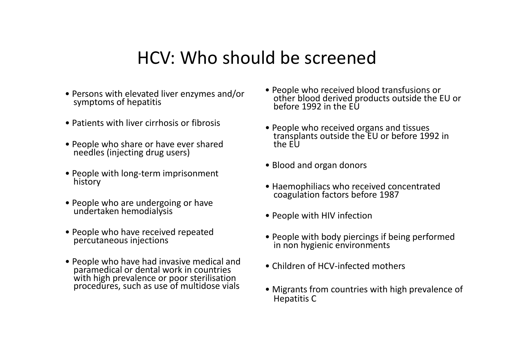## HCV: Who should be screened

- Persons with elevated liver enzymes and/or symptoms of hepatitis
- Patients with liver cirrhosis or fibrosis
- People who share or have ever shared<br>needles (injecting drug users) needles (injecting drug users)
- People with long‐term imprisonment history
- People who are undergoing or have undertakenundertaken hemodialysis
- People who have received repeated percutaneous injections
- People who have had invasive medical and People who have had invasive medical and paramedical or dental work in countries withwith high prevalence or poor sterilisation<br>procedures, such as use of multidose vials
- People who received blood transfusions or People who received blood transfusions or other blood derived products outside the EU or before1992 in the EU
- People who received organs and tissues transplants outside the EU or before <sup>1992</sup> in thethe FU
- Blood and organ donors
- Haemophiliacs who received concentrated coagulation factors before <sup>1987</sup>
- People with HIV infection
- People with body piercings if being performed in non hygienic environments
- Children of HCV‐infected mothers
- Migrants from countries with high prevalence of Hepatitis C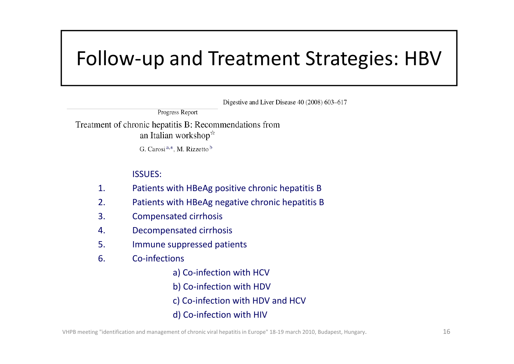## Follow‐up and Treatment Strategies: HBV

Digestive and Liver Disease 40 (2008) 603–617

**Progress Report** 

Treatment of chronic hepatitis B: Recommendations from an Italian workshop $\dot{x}$ 

G. Carosi<sup>a,\*</sup>, M. Rizzetto<sup>b</sup>

#### ISSUES:

- 1.Patients with HBeAg positive chronic hepatitis B
- 2.Patients with HBeAg negative chronic hepatitis B
- 3.Compensated cirrhosis
- 4.Decompensated cirrhosis
- 5.Immune suppressed patients
- 6. Co‐infections
	- a) Co-infection with HCV
	- b) Co‐infection with HDV
	- c) Co‐infection with HDV and HCV
	- d) Co‐infection with HIV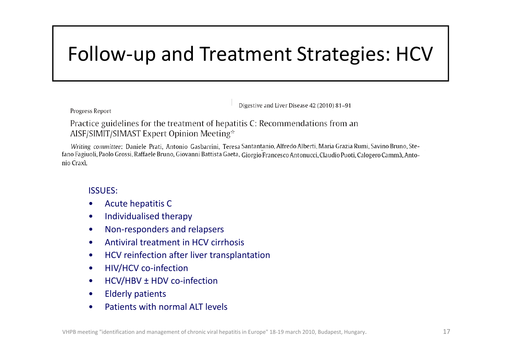## Follow‐up and Treatment Strategies: HCV

Digestive and Liver Disease 42 (2010) 81-91

Progress Report

Practice guidelines for the treatment of hepatitis C: Recommendations from an AISF/SIMIT/SIMAST Expert Opinion Meeting☆

Writing committee: Daniele Prati, Antonio Gasbarrini, Teresa Santantanio, Alfredo Alberti, Maria Grazia Rumi, Savino Bruno, Stefano Fagiuoli, Paolo Grossi, Raffaele Bruno, Giovanni Battista Gaeta, Giorgio Francesco Antonucci, Claudio Puoti, Calogero Cammà, Antonio Craxì.

ISSUES:

- •Acute hepatitis C
- $\bullet$ • Individualised therapy
- •Non‐responders and relapsers
- •Antiviral treatment in HCV cirrhosis
- $\bullet$ HCV reinfection after liver transplantation
- $\bullet$ HIV/HCV co‐infection
- $\bullet$ HCV/HBV ± HDV co-infection
- $\bullet$ Elderly patients
- •Patients with normal ALT levels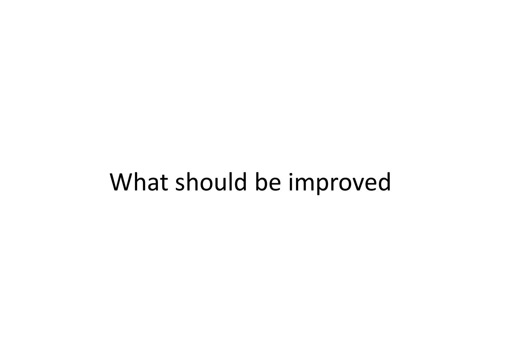# What should be improved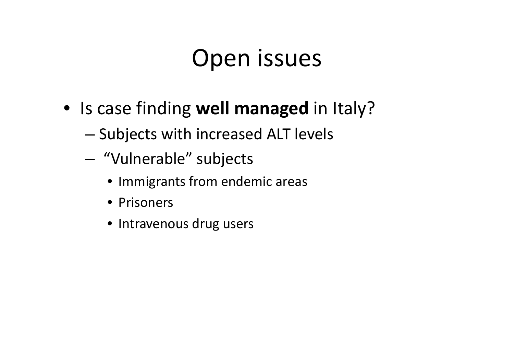# Open issues

- Is case finding **well managed** in Italy?
	- – $-$  Subjects with increased ALT levels
	- – "Vulnerable" subjects
		- Immigrants from endemic areas
		- Prisoners
		- Intravenous drug users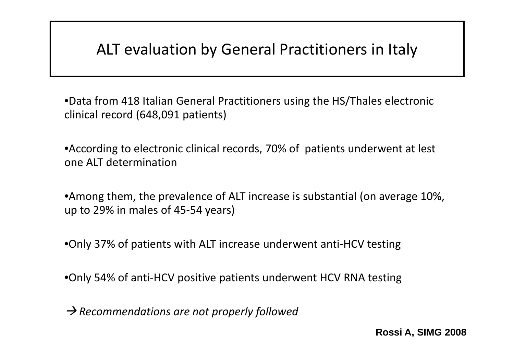### ALT evaluation by General Practitioners in Italy

•Data from 418 Italian General Practitioners using the HS/Thales electronic clinical record (648,091 patients)

•According to electronic clinical records, 70% of patients underwent at lest one ALT determination

•Among them, the prevalence of ALT increase is substantial (on average 10%, up to 29% in males of 45‐54 years)

•Only 37% of patients with ALT increase underwent anti-HCV testing

•Only 54% of anti‐HCV positive patients underwent HCV RNA testing

Æ *Recommendations are not properly followed*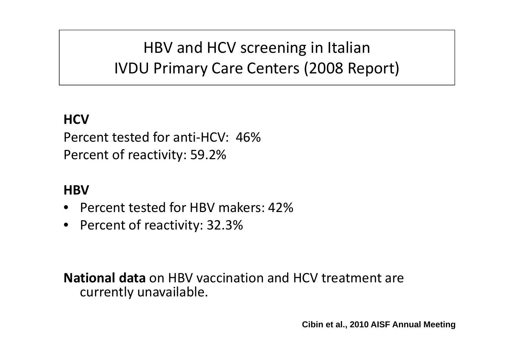HBV and HCV screening in Italian IVDU Primary Care Centers (2008 Report)

### **HCV**

Percent tested for anti‐HCV: 46%Percent of reactivity: 59.2%

### **HBV**

- •Percent tested for HBV makers: 42%
- •Percent of reactivity: 32.3%

**National data** on HBV vaccination and HCV treatment are currently unavailable.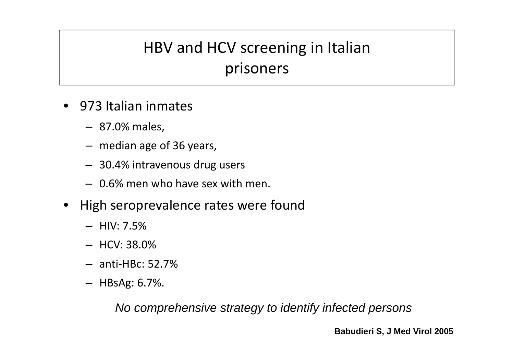## HBV and HCV screening in Italian prisoners

- 973 Italian inmates
	- 87.0% males,
	- median age of 36 years,
	- 30.4% intravenous drug users
	- 0.6% men who have sex with men.
- • High seroprevalence rates were found
	- HIV: 7.5%
	- HCV: 38.0%
	- anti‐HBc: 52.7%
	- HBsAg: 6.7%.

*No comprehensive strategy to identify infected persons*

**Babudieri S, J Med Virol 2005**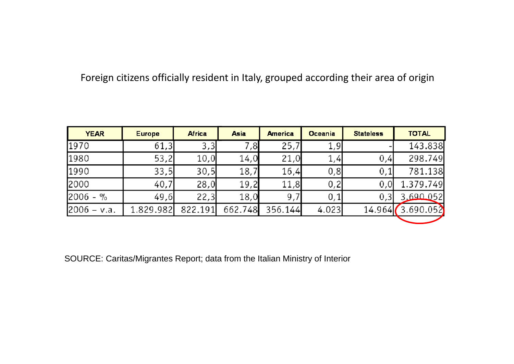Foreign citizens officially resident in Italy, grouped according their area of origin

| <b>YEAR</b>   | <b>Europe</b> | <b>Africa</b> | <b>Asia</b> | <b>America</b> | <b>Oceania</b> | <b>Stateless</b> | <b>TOTAL</b> |
|---------------|---------------|---------------|-------------|----------------|----------------|------------------|--------------|
| 1970          | 61,3          | 3,3           | 7,8         | 25,7           | 1,9            |                  | 143.838      |
| 1980          | 53,2          | 10,0          | 14,0        | 21,0           | 1,4            | 0,4              | 298.749      |
| 1990          | 33,5          | 30,5          | 18,7        | 16,4           | 0,8            | 0,1              | 781.138      |
| 2000          | 40,7          | 28,0          | 19,2        | 11,8           | 0, 2           | 0, 0             | 1.379.749    |
| $2006 - %$    | 49,6          | 22,3          | 18,0        | 9,7            | 0,1            | 0, 3             | 3.690.052    |
| $2006 - v.a.$ | 1.829.982     | 822.191       | 662.748     | 356.144        | 4.023          | 14.964           | 3.690.052    |

SOURCE: Caritas/Migrantes Report; data from the Italian Ministry of Interior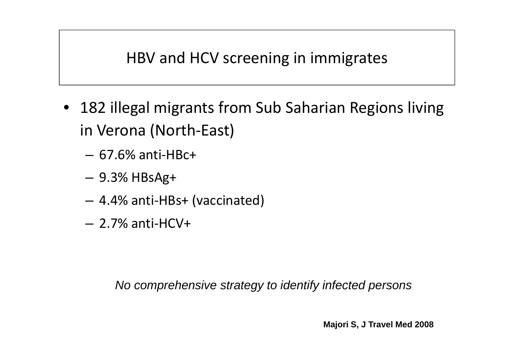## HBV and HCV screening in immigrates

- 182 illegal migrants from Sub Saharian Regions living in Verona (North‐East)
	- 67.6% anti‐HBc+
	- 9.3% HBsAg+
	- 4.4% anti‐HBs+ (vaccinated)
	- 2.7% anti‐HCV+

*No comprehensive strategy to identify infected persons*

**Majori S, J Travel Med 2008**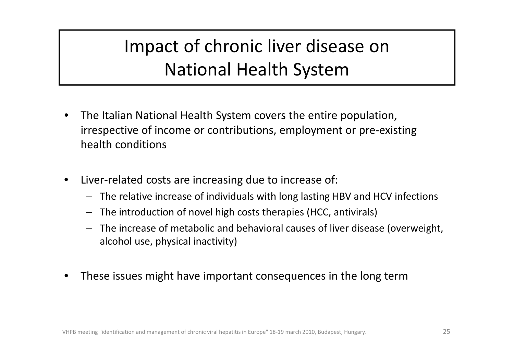## Impact of chronic liver disease on National Health System

- • The Italian National Health System covers the entire population, irrespective of income or contributions, employment or pre‐existing health conditions
- •● Liver-related costs are increasing due to increase of:
	- The relative increase of individuals with long lasting HBV and HCV infections
	- The introduction of novel high costs therapies (HCC, antivirals)
	- The increase of metabolic and behavioral causes of liver disease (overweight, alcohol use, physical inactivity)
- •These issues might have important consequences in the long term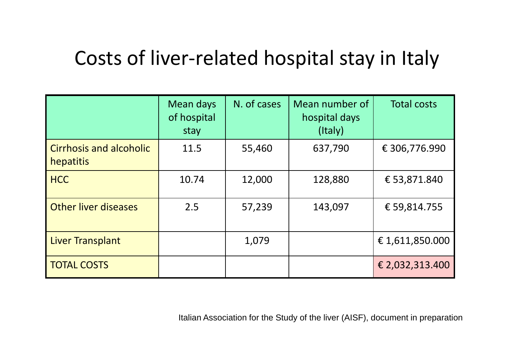## Costs of liver‐related hospital stay in Italy

|                                             | Mean days<br>of hospital<br>stay | N. of cases | Mean number of<br>hospital days<br>(Italy) | <b>Total costs</b> |
|---------------------------------------------|----------------------------------|-------------|--------------------------------------------|--------------------|
| <b>Cirrhosis and alcoholic</b><br>hepatitis | 11.5                             | 55,460      | 637,790                                    | € 306,776.990      |
| <b>HCC</b>                                  | 10.74                            | 12,000      | 128,880                                    | € 53,871.840       |
| <b>Other liver diseases</b>                 | 2.5                              | 57,239      | 143,097                                    | € 59,814.755       |
| Liver Transplant                            |                                  | 1,079       |                                            | €1,611,850.000     |
| <b>TOTAL COSTS</b>                          |                                  |             |                                            | € 2,032,313.400    |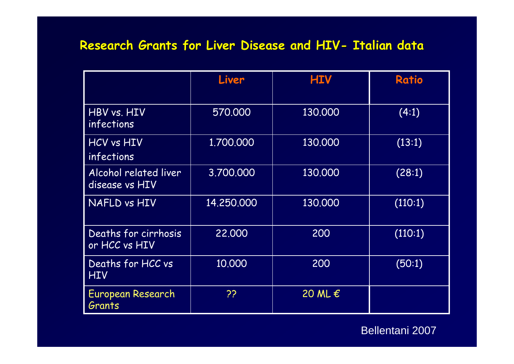### **Research Grants for Liver Disease and HIV- Italian data**

|                                         | Liver      | <b>HIV</b>       | <b>Ratio</b> |
|-----------------------------------------|------------|------------------|--------------|
| HBV vs. HIV<br><i>infections</i>        | 570,000    | 130,000          | (4:1)        |
| HCV vs HIV<br><i>infections</i>         | 1.700.000  | 130,000          | (13:1)       |
| Alcohol related liver<br>disease vs HIV | 3.700.000  | 130,000          | (28:1)       |
| NAFLD vs HIV                            | 14.250.000 | 130,000          | (110:1)      |
| Deaths for cirrhosis<br>or HCC vs HIV   | 22,000     | 200              | (110:1)      |
| Deaths for HCC vs<br><b>HIV</b>         | 10.000     | 200              | (50:1)       |
| European Research<br>Grants             | ??         | 20 ML $\epsilon$ |              |

Bellentani 2007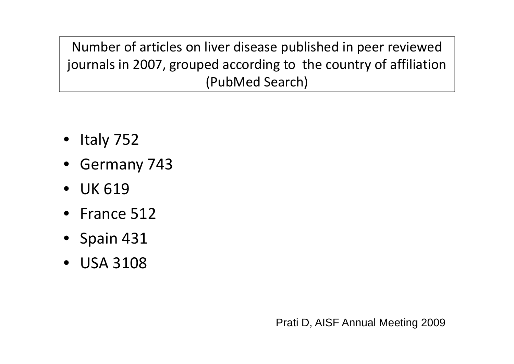Number of articles on liver disease published in peer reviewed journals in 2007, grouped according to the country of affiliation (PubMed Search)

- Italy 752
- Germany 743
- UK 619
- France 512
- Spain 431
- USA 3108

Prati D, AISF Annual Meeting 2009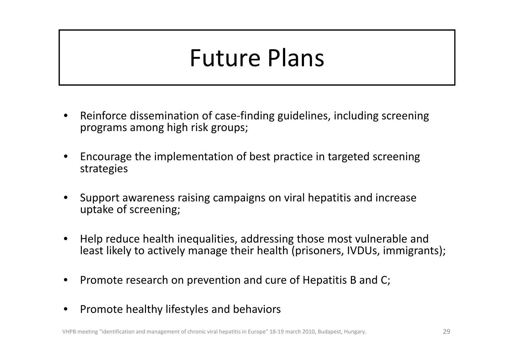# Future Plans

- •● Reinforce dissemination of case-finding guidelines, including screening programs among high risk groups;
- • Encourage the implementation of best practice in targeted screening strategies
- • Support awareness raising campaigns on viral hepatitis and increase uptake of screening;
- • Help reduce health inequalities, addressing those most vulnerable and least likely to actively manage their health (prisoners, IVDUs, immigrants);
- •• Promote research on prevention and cure of Hepatitis B and C;
- •**•** Promote healthy lifestyles and behaviors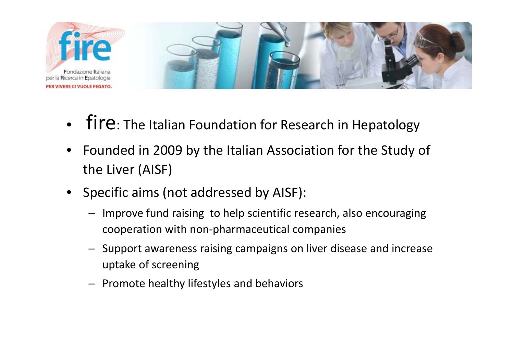

- • $\bullet$   $\overline{f}$   $\overline{f}$   $\overline{f}$   $\overline{f}$   $\overline{f}$   $\overline{f}$   $\overline{f}$   $\overline{f}$   $\overline{f}$   $\overline{f}$   $\overline{f}$   $\overline{f}$   $\overline{f}$   $\overline{f}$   $\overline{f}$   $\overline{f}$   $\overline{f}$   $\overline{f}$   $\overline{f}$   $\overline{f}$   $\overline{f}$   $\overline{f}$   $\overline{f}$   $\overline{f$
- • Founded in 2009 by the Italian Association for the Study of the Liver (AISF)
- Specific aims (not addressed by AISF):
	- Improve fund raising to help scientific research, also encouraging cooperation with non‐pharmaceutical companies
	- Support awareness raising campaigns on liver disease and increase uptake of screening
	- Promote healthy lifestyles and behaviors